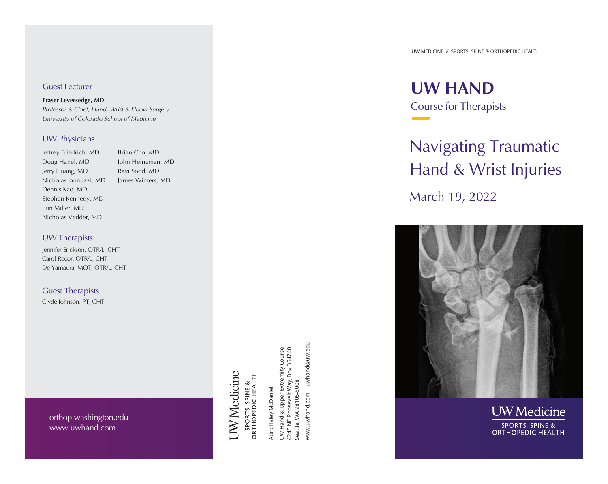#### UW MEDICINE // SPORTS, SPINE & ORTHOPEDIC HEALTH

**UW HAND** Course for Therapists

# Navigating TraumaticHand & Wrist Injuries

March 19, 2022





Guest Lecturer

**Fraser Leversedge, MD** 

*Professor & Chief, Hand, Wrist & Elbow Surgery University of Colorado School of Medicine* 

#### UW Physicians

Jeffrey Friedrich, MD Doug Hanel, MD Jerry Huang, MD Nicholas Iannuzzi, MD Dennis Kao, MD Stephen Kennedy, MD Erin Miller, MD Nicholas Vedder, MD

Brian Cho, MD John Heineman, MD Ravi Sood, MD James Winters, MD

UW Therapists

Jennifer Erickson, OTR/L, CHT Carol Recor, OTR/L, CHT De Yamaura, MOT, OTR/L, CHT

Guest Therapists

Clyde Johnson, PT, CHT

**JW** Medicine

SPORTS, SPINE &<br>ORTHOPEDIC HEALTH

Attn: Haley McDaniel Attn: Haley McDaniel

www.uwhand.com uwhand@uw.edu www.uwhand.com uwhand@uw.edu UW Hand & Upper Extremity Course<br>4245 NE Roosevelt Way, Box 354740<br>Seattle, WA 98105-5008 UW Hand & Upper Extremity Course 4245 NE Roosevelt Way, Box 354740 Seattle, WA 98105-5008

orthop.washington.edu www.uwhand.com